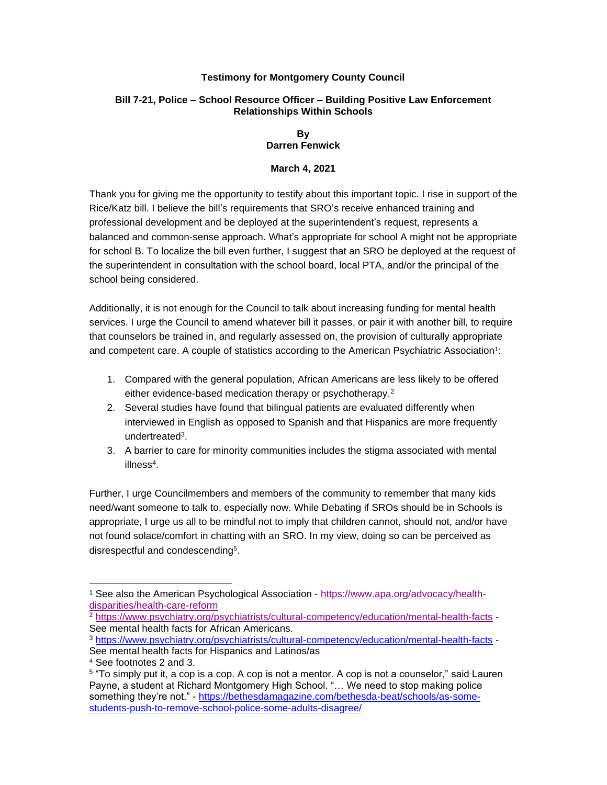## **Testimony for Montgomery County Council**

## **Bill 7-21, Police – School Resource Officer – Building Positive Law Enforcement Relationships Within Schools**

**By Darren Fenwick**

## **March 4, 2021**

Thank you for giving me the opportunity to testify about this important topic. I rise in support of the Rice/Katz bill. I believe the bill's requirements that SRO's receive enhanced training and professional development and be deployed at the superintendent's request, represents a balanced and common-sense approach. What's appropriate for school A might not be appropriate for school B. To localize the bill even further, I suggest that an SRO be deployed at the request of the superintendent in consultation with the school board, local PTA, and/or the principal of the school being considered.

Additionally, it is not enough for the Council to talk about increasing funding for mental health services. I urge the Council to amend whatever bill it passes, or pair it with another bill, to require that counselors be trained in, and regularly assessed on, the provision of culturally appropriate and competent care. A couple of statistics according to the American Psychiatric Association<sup>1</sup>:

- 1. Compared with the general population, African Americans are less likely to be offered either evidence-based medication therapy or psychotherapy.<sup>2</sup>
- 2. Several studies have found that bilingual patients are evaluated differently when interviewed in English as opposed to Spanish and that Hispanics are more frequently undertreated<sup>3</sup>.
- 3. A barrier to care for minority communities includes the stigma associated with mental illness<sup>4</sup>.

Further, I urge Councilmembers and members of the community to remember that many kids need/want someone to talk to, especially now. While Debating if SROs should be in Schools is appropriate, I urge us all to be mindful not to imply that children cannot, should not, and/or have not found solace/comfort in chatting with an SRO. In my view, doing so can be perceived as disrespectful and condescending<sup>5</sup>.

<sup>1</sup> See also the American Psychological Association - [https://www.apa.org/advocacy/health](https://www.apa.org/advocacy/health-disparities/health-care-reform)[disparities/health-care-reform](https://www.apa.org/advocacy/health-disparities/health-care-reform)

<sup>2</sup> <https://www.psychiatry.org/psychiatrists/cultural-competency/education/mental-health-facts> - See mental health facts for African Americans.

<sup>3</sup> <https://www.psychiatry.org/psychiatrists/cultural-competency/education/mental-health-facts> - See mental health facts for Hispanics and Latinos/as

<sup>4</sup> See footnotes 2 and 3.

 $5$  "To simply put it, a cop is a cop. A cop is not a mentor. A cop is not a counselor," said Lauren Payne, a student at Richard Montgomery High School. "… We need to stop making police something they're not." - [https://bethesdamagazine.com/bethesda-beat/schools/as-some](https://bethesdamagazine.com/bethesda-beat/schools/as-some-students-push-to-remove-school-police-some-adults-disagree/)[students-push-to-remove-school-police-some-adults-disagree/](https://bethesdamagazine.com/bethesda-beat/schools/as-some-students-push-to-remove-school-police-some-adults-disagree/)